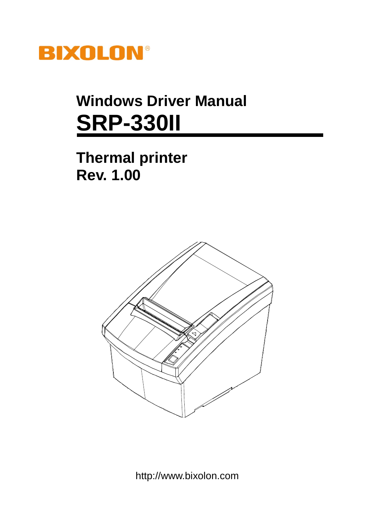

# **Windows Driver Manual SRP-330II**

## **Thermal printer Rev. 1.00**



http://www.bixolon.com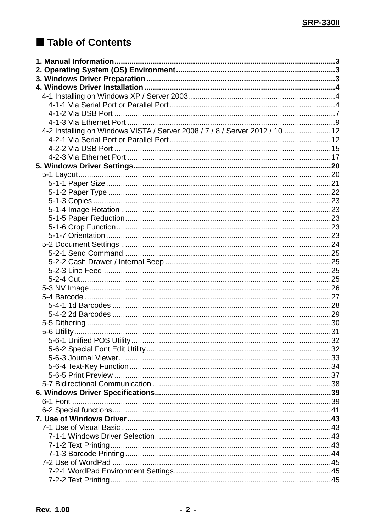## Table of Contents

| 4-2 Installing on Windows VISTA / Server 2008 / 7 / 8 / Server 2012 / 10 12 |  |
|-----------------------------------------------------------------------------|--|
|                                                                             |  |
|                                                                             |  |
|                                                                             |  |
|                                                                             |  |
|                                                                             |  |
|                                                                             |  |
|                                                                             |  |
|                                                                             |  |
|                                                                             |  |
|                                                                             |  |
|                                                                             |  |
|                                                                             |  |
|                                                                             |  |
|                                                                             |  |
|                                                                             |  |
|                                                                             |  |
|                                                                             |  |
|                                                                             |  |
|                                                                             |  |
|                                                                             |  |
|                                                                             |  |
|                                                                             |  |
|                                                                             |  |
|                                                                             |  |
|                                                                             |  |
|                                                                             |  |
|                                                                             |  |
|                                                                             |  |
|                                                                             |  |
|                                                                             |  |
|                                                                             |  |
|                                                                             |  |
|                                                                             |  |
|                                                                             |  |
|                                                                             |  |
|                                                                             |  |
|                                                                             |  |
|                                                                             |  |
|                                                                             |  |
|                                                                             |  |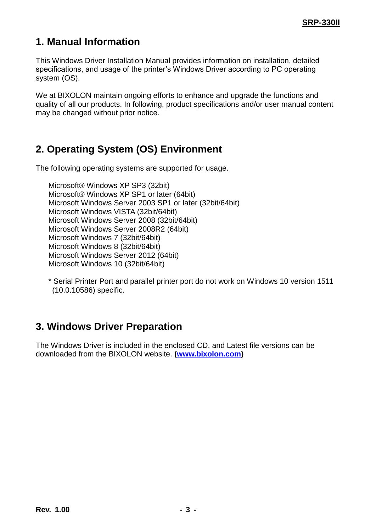## <span id="page-2-0"></span>**1. Manual Information**

This Windows Driver Installation Manual provides information on installation, detailed specifications, and usage of the printer"s Windows Driver according to PC operating system (OS).

We at BIXOLON maintain ongoing efforts to enhance and upgrade the functions and quality of all our products. In following, product specifications and/or user manual content may be changed without prior notice.

## <span id="page-2-1"></span>**2. Operating System (OS) Environment**

The following operating systems are supported for usage.

Microsoft® Windows XP SP3 (32bit) Microsoft® Windows XP SP1 or later (64bit) Microsoft Windows Server 2003 SP1 or later (32bit/64bit) Microsoft Windows VISTA (32bit/64bit) Microsoft Windows Server 2008 (32bit/64bit) Microsoft Windows Server 2008R2 (64bit) Microsoft Windows 7 (32bit/64bit) Microsoft Windows 8 (32bit/64bit) Microsoft Windows Server 2012 (64bit) Microsoft Windows 10 (32bit/64bit)

\* Serial Printer Port and parallel printer port do not work on Windows 10 version 1511 (10.0.10586) specific.

## <span id="page-2-2"></span>**3. Windows Driver Preparation**

The Windows Driver is included in the enclosed CD, and Latest file versions can be downloaded from the BIXOLON website. **[\(www.bixolon.com\)](http://www.bixolon.com/)**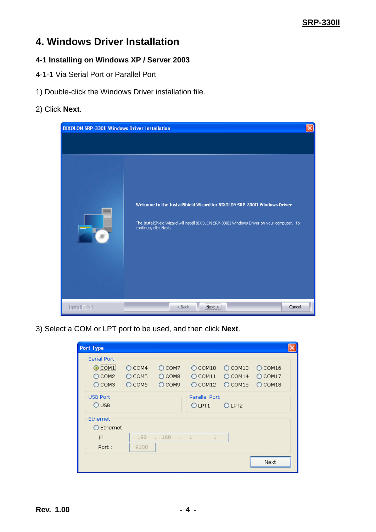### <span id="page-3-0"></span>**4. Windows Driver Installation**

#### <span id="page-3-1"></span>**4-1 Installing on Windows XP / Server 2003**

- <span id="page-3-2"></span>4-1-1 Via Serial Port or Parallel Port
- 1) Double-click the Windows Driver installation file.

#### 2) Click **Next**.

| <b>BIXOLON SRP-330II Windows Driver Installation</b> |                                                                                                                                                                                                  | $\boldsymbol{\times}$ |
|------------------------------------------------------|--------------------------------------------------------------------------------------------------------------------------------------------------------------------------------------------------|-----------------------|
|                                                      |                                                                                                                                                                                                  |                       |
|                                                      | Welcome to the InstallShield Wizard for BIXOLON SRP-330II Windows Driver<br>The InstallShield Wizard will install BIXOLON SRP-330II Windows Driver on your computer. To<br>continue, click Next. |                       |
| <b>InstallShield</b>                                 | Cancel<br>$<$ Back<br>i Next >                                                                                                                                                                   |                       |

3) Select a COM or LPT port to be used, and then click **Next**.

| <b>Port Type</b> |                                                                |                                            |                                       |                                            |                                     |                                     |  |
|------------------|----------------------------------------------------------------|--------------------------------------------|---------------------------------------|--------------------------------------------|-------------------------------------|-------------------------------------|--|
|                  | Serial Port-<br>$\odot$ COM1<br>$O$ COM <sub>2</sub><br>О сомз | $O$ COM4<br>$O$ COM <sub>5</sub><br>О сомб | $O$ COM7<br>$O$ COM8<br>$O$ COM9      | $O$ COM10<br>$O$ COM11<br>$\bigcirc$ COM12 | $O$ COM13<br>$O$ COM14<br>$O$ COM15 | $O$ COM16<br>$O$ COM17<br>$O$ COM18 |  |
|                  | USB Port-<br>$O$ USB                                           |                                            |                                       | Parallel Port<br>O LPT1                    | O LPT <sub>2</sub>                  |                                     |  |
|                  | Ethernet<br>$\bigcirc$ Ethernet                                |                                            |                                       |                                            |                                     |                                     |  |
|                  | IP:<br>Port:                                                   | 192<br>9100                                | 168<br>$\ldots$ $1$<br><b>College</b> |                                            |                                     |                                     |  |
|                  |                                                                |                                            |                                       |                                            |                                     | Next                                |  |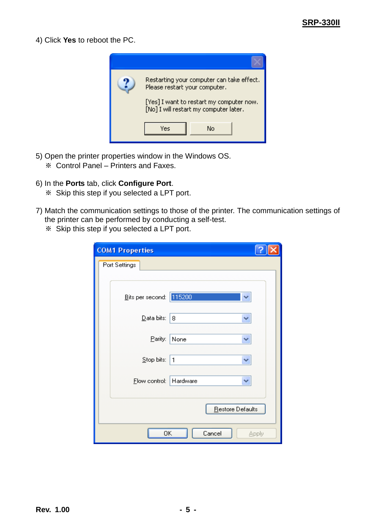4) Click **Yes** to reboot the PC.



- 5) Open the printer properties window in the Windows OS.
	- ※ Control Panel Printers and Faxes.
- 6) In the **Ports** tab, click **Configure Port**.
	- ※ Skip this step if you selected a LPT port.
- 7) Match the communication settings to those of the printer. The communication settings of the printer can be performed by conducting a self-test.
	- ※ Skip this step if you selected a LPT port.

| <b>COM1 Properties</b>  |                        |
|-------------------------|------------------------|
| Port Settings           |                        |
|                         |                        |
| Bits per second: 115200 |                        |
| Data bits:              | 8<br>₩                 |
| Parity:                 | None                   |
| Stop bits:              | 1<br>$\checkmark$      |
| Elow control:           | Hardware<br>◡          |
|                         | Restore Defaults       |
| ΟK                      | Cancel<br><b>Apply</b> |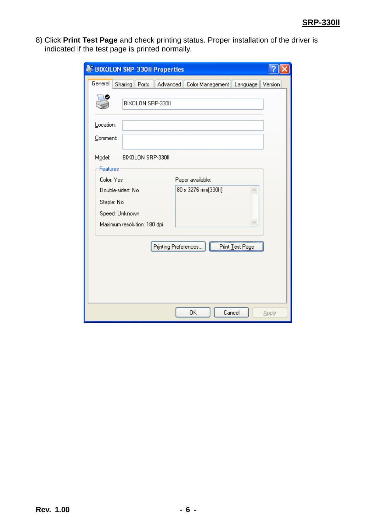8) Click **Print Test Page** and check printing status. Proper installation of the driver is indicated if the test page is printed normally.

| <b>BIXOLON SRP-330II Properties</b>                                     |              |
|-------------------------------------------------------------------------|--------------|
| General<br>Sharing<br>Ports<br>Advanced<br>Color Management<br>Language | Version      |
| BIXOLON SRP-330II                                                       |              |
| Location:                                                               |              |
| Comment:                                                                |              |
| BIXOLON SRP-330II<br>Model:                                             |              |
| Features                                                                |              |
| Color: Yes<br>Paper available:                                          |              |
| 80 x 3276 mm[330II]<br>Double-sided: No                                 |              |
| Staple: No                                                              |              |
| Speed: Unknown                                                          |              |
| Maximum resolution: 180 dpi                                             |              |
|                                                                         |              |
| Printing Preferences<br>Print Test Page                                 |              |
|                                                                         |              |
|                                                                         |              |
|                                                                         |              |
|                                                                         |              |
|                                                                         |              |
| Cancel<br>0K                                                            | <b>Apply</b> |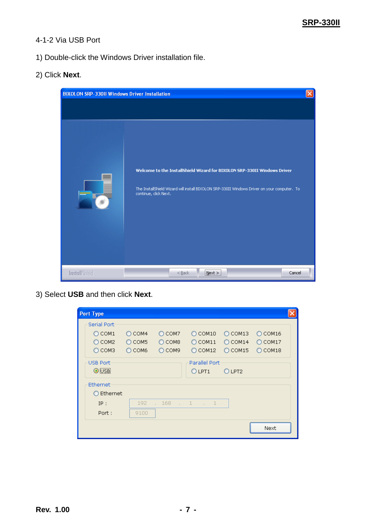#### <span id="page-6-0"></span>4-1-2 Via USB Port

- 1) Double-click the Windows Driver installation file.
- 2) Click **Next**.

| <b>BIXOLON SRP-330II Windows Driver Installation</b> |                                                                                                                                                                                                  | $\overline{\mathsf{x}}$ |
|------------------------------------------------------|--------------------------------------------------------------------------------------------------------------------------------------------------------------------------------------------------|-------------------------|
|                                                      | Welcome to the InstallShield Wizard for BIXOLON SRP-330II Windows Driver<br>The InstallShield Wizard will install BIXOLON SRP-330II Windows Driver on your computer. To<br>continue, click Next. |                         |
| <b>InstallShield</b>                                 | Cancel<br>$<$ Back<br>Next >                                                                                                                                                                     |                         |

3) Select **USB** and then click **Next**.

| <b>Port Type</b>                                                           |                                                |                                                |                                                   |                                     |                                            |  |
|----------------------------------------------------------------------------|------------------------------------------------|------------------------------------------------|---------------------------------------------------|-------------------------------------|--------------------------------------------|--|
| Serial Port-<br>$\bigcirc$ COM1<br>$O$ COM <sub>2</sub><br>$\bigcirc$ COM3 | $\bigcirc$ COM4<br>$\bigcirc$ COM5<br>$O$ COM6 | $\bigcirc$ COM7<br>$\bigcirc$ COM8<br>$O$ COM9 | $O$ COM10<br>$\bigcirc$ COM11<br>$\bigcirc$ COM12 | $O$ COM13<br>$O$ COM14<br>$O$ COM15 | $O$ COM16<br>$O$ COM17<br>$\bigcirc$ COM18 |  |
| <b>USB Port</b><br>$\odot$ USB                                             |                                                |                                                | Parallel Port<br>O LPT1                           | O LPT2                              |                                            |  |
| Ethernet<br>$\bigcirc$ Ethernet                                            |                                                |                                                |                                                   |                                     |                                            |  |
| IP:                                                                        | 192                                            | $\therefore$ 168                               | $\cdots$ 1 $\cdots$ 1                             |                                     |                                            |  |
| Port:                                                                      | 9100                                           |                                                |                                                   |                                     | Next                                       |  |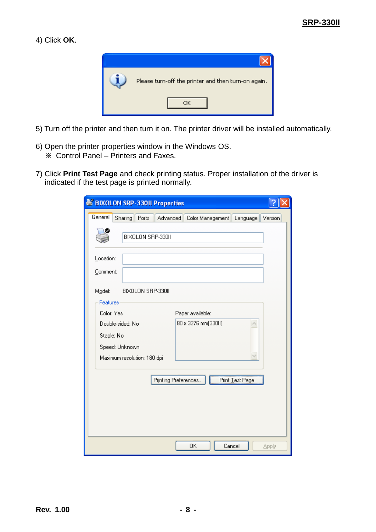#### 4) Click **OK**.



- 5) Turn off the printer and then turn it on. The printer driver will be installed automatically.
- 6) Open the printer properties window in the Windows OS.
	- ※ Control Panel Printers and Faxes.
- 7) Click **Print Test Page** and check printing status. Proper installation of the driver is indicated if the test page is printed normally.

| <b>BIXOLON SRP-330II Properties</b>                                                                    |
|--------------------------------------------------------------------------------------------------------|
| General<br>Advanced<br>Sharing<br>Ports<br>Color Management<br>Language<br>Version                     |
| BIXOLON SRP-330II                                                                                      |
| Location:                                                                                              |
| Comment:                                                                                               |
| BIXOLON SRP-330II<br>Model:                                                                            |
| Features                                                                                               |
| Color: Yes<br>Paper available:                                                                         |
| 80 x 3276 mm[330II]<br>Double-sided: No<br>Staple: No<br>Speed: Unknown<br>Maximum resolution: 180 dpi |
| Print Test Page<br>Printing Preferences                                                                |
|                                                                                                        |
|                                                                                                        |
| 0K<br>Cancel<br>Apply                                                                                  |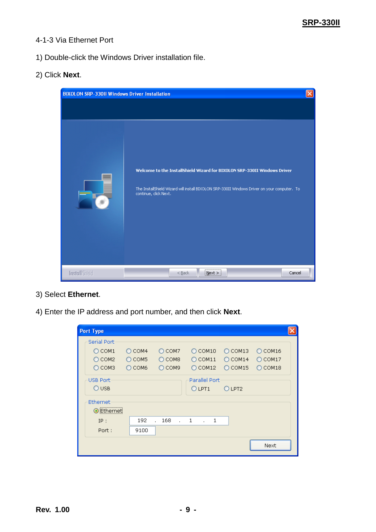#### <span id="page-8-0"></span>4-1-3 Via Ethernet Port

1) Double-click the Windows Driver installation file.

#### 2) Click **Next**.

| <b>BIXOLON SRP-33011 Windows Driver Installation</b> |                                                                                                                                                                                                      | $\times$ |
|------------------------------------------------------|------------------------------------------------------------------------------------------------------------------------------------------------------------------------------------------------------|----------|
|                                                      | Welcome to the InstallShield Wizard for BIXOLON SRP-330II Windows Driver<br>The InstallShield Wizard will install BIXOLON SRP-330II Windows Driver on your computer. To<br>continue, click Next.<br> |          |
| <b>InstallShield</b>                                 | Cancel<br>$<$ Back<br>$N$ ext $>$                                                                                                                                                                    |          |

- 3) Select **Ethernet**.
- 4) Enter the IP address and port number, and then click **Next**.

| <b>Port Type</b> |                 |                                  |                   |           |                     |  |
|------------------|-----------------|----------------------------------|-------------------|-----------|---------------------|--|
| Serial Port-     |                 |                                  |                   |           |                     |  |
| $\bigcirc$ COM1  | $O$ COM4        | $\bigcirc$ COM7                  | $\bigcirc$ COM10  | $O$ COM13 | $O$ COM16           |  |
| $\bigcirc$ COM2  | $\bigcirc$ COM5 | $\bigcirc$ COM8                  | $\bigcirc$ COM11  | $O$ COM14 | $\bigcirc$ COM17    |  |
| $O$ COM3         | О сомь          | O COM9                           | COM12<br>Ω        | $O$ COM15 | COM18<br>$\bigcirc$ |  |
| <b>USB Port</b>  |                 |                                  | Parallel Port     |           |                     |  |
| $O$ USB          |                 |                                  | O LPT1            | O LPT2    |                     |  |
| Ethernet         |                 |                                  |                   |           |                     |  |
| Ethernet         |                 |                                  |                   |           |                     |  |
| IP:              | 192             | 168<br>$\cdot$ 1<br>$\mathbf{r}$ | 1<br>$\mathbf{r}$ |           |                     |  |
| Port:            | 9100            |                                  |                   |           |                     |  |
|                  |                 |                                  |                   |           | Next                |  |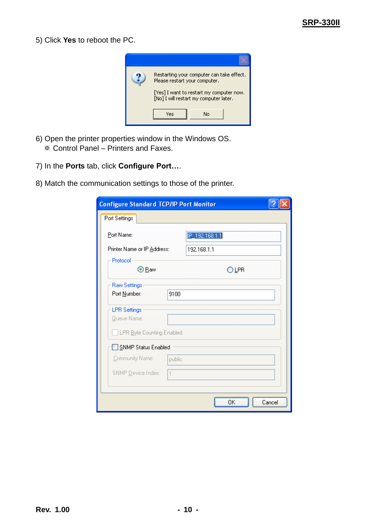5) Click **Yes** to reboot the PC.



- 6) Open the printer properties window in the Windows OS. ※ Control Panel – Printers and Faxes.
- 7) In the **Ports** tab, click **Configure Port…**.
- 8) Match the communication settings to those of the printer.

| <b>Configure Standard TCP/IP Port Monitor</b> |        |                |        |
|-----------------------------------------------|--------|----------------|--------|
| Port Settings                                 |        |                |        |
| Port Name:                                    |        | IP_192.168.1.1 |        |
| Printer Name or IP Address:                   |        | 192.168.1.1    |        |
| Protocol<br>⊙ Raw                             |        | O LPR          |        |
| <b>Raw Settings</b>                           |        |                |        |
| Port Number:                                  | 9100   |                |        |
| <b>LPR Settings</b><br>Queue Name:            |        |                |        |
| LPR Byte Counting Enabled                     |        |                |        |
| SNMP Status Enabled                           |        |                |        |
| Community Name:                               | public |                |        |
| SNMP Device Index:<br>1                       |        |                |        |
|                                               |        |                |        |
|                                               |        | OΚ             | Cancel |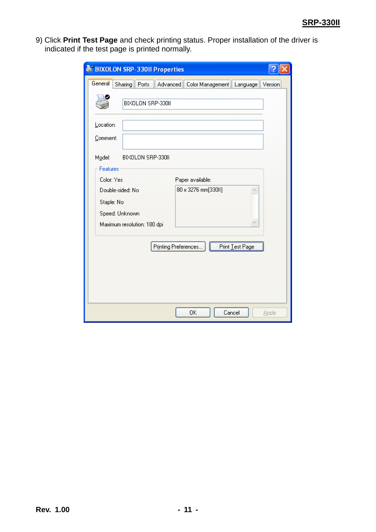9) Click **Print Test Page** and check printing status. Proper installation of the driver is indicated if the test page is printed normally.

| <b>BIXOLON SRP-330II Properties</b>                                            |         |
|--------------------------------------------------------------------------------|---------|
| General<br><b>Sharing</b><br>Ports<br>Advanced<br>Color Management<br>Language | Version |
| BIXOLON SRP-330II                                                              |         |
| Location:                                                                      |         |
| Comment:                                                                       |         |
| BIXOLON SRP-330II<br>Model:                                                    |         |
| Features                                                                       |         |
| Color: Yes<br>Paper available:                                                 |         |
| 80 x 3276 mm[330II]<br>Double-sided: No                                        |         |
| Staple: No                                                                     |         |
| Speed: Unknown                                                                 |         |
| Maximum resolution: 180 dpi                                                    |         |
|                                                                                |         |
| Printing Preferences<br>Print Test Page                                        |         |
|                                                                                |         |
|                                                                                |         |
|                                                                                |         |
|                                                                                |         |
| Cancel<br>0K                                                                   | Apply   |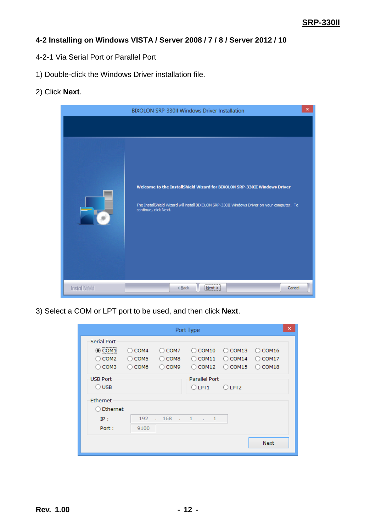#### <span id="page-11-0"></span>**4-2 Installing on Windows VISTA / Server 2008 / 7 / 8 / Server 2012 / 10**

- <span id="page-11-1"></span>4-2-1 Via Serial Port or Parallel Port
- 1) Double-click the Windows Driver installation file.
- 2) Click **Next**.



3) Select a COM or LPT port to be used, and then click **Next**.

|                                                                           |                                                             |                                                        | Port Type                                |                                                    |                                              | × |
|---------------------------------------------------------------------------|-------------------------------------------------------------|--------------------------------------------------------|------------------------------------------|----------------------------------------------------|----------------------------------------------|---|
| <b>Serial Port</b><br>$\odot$ COM1<br>COM <sub>2</sub><br>$\bigcirc$ COM3 | $\bigcirc$ COM4<br>COM <sub>5</sub><br>Ω<br>$\bigcirc$ COM6 | $\bigcirc$ COM7<br>COM <sub>8</sub><br>$\bigcirc$ COM9 | COM10<br>(<br>COM11<br>( )<br>COM12<br>( | $\bigcirc$ COM13<br>COM14<br>(<br>$\bigcirc$ COM15 | $\bigcirc$ COM16<br>COM17<br>(<br>COM18<br>( |   |
| <b>USB Port</b><br>$\bigcirc$ usb                                         |                                                             |                                                        | Parallel Port<br>$O$ LPT1                | $O$ LPT2                                           |                                              |   |
| Ethernet<br>Ethernet                                                      |                                                             |                                                        |                                          |                                                    |                                              |   |
| IP:<br>Port:                                                              | 192<br>9100                                                 | 168<br><b>Service</b>                                  | $\mathbf{1}$<br>$\ldots$ 1<br>÷.         |                                                    |                                              |   |
|                                                                           |                                                             |                                                        |                                          |                                                    | <b>Next</b>                                  |   |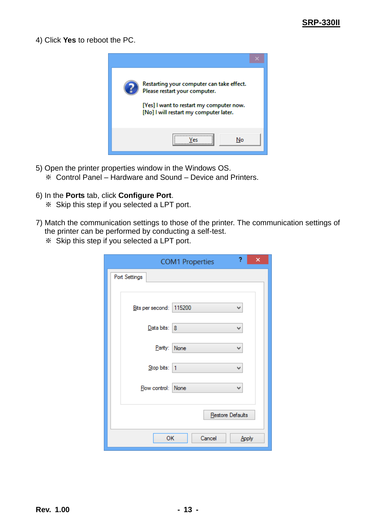4) Click **Yes** to reboot the PC.



- 5) Open the printer properties window in the Windows OS.
	- ※ Control Panel Hardware and Sound Device and Printers.
- 6) In the **Ports** tab, click **Configure Port**.
	- ※ Skip this step if you selected a LPT port.
- 7) Match the communication settings to those of the printer. The communication settings of the printer can be performed by conducting a self-test.
	- ※ Skip this step if you selected a LPT port.

| ?<br>×<br><b>COM1 Properties</b> |  |
|----------------------------------|--|
| Port Settings                    |  |
|                                  |  |
| Bits per second: 115200<br>٧     |  |
| Data bits:   8<br>v              |  |
| Parity:<br>None<br>v             |  |
| Stop bits:<br>1<br>v             |  |
| Flow control: None<br>v          |  |
|                                  |  |
| Restore Defaults                 |  |
| OK<br>Cancel<br>Apply            |  |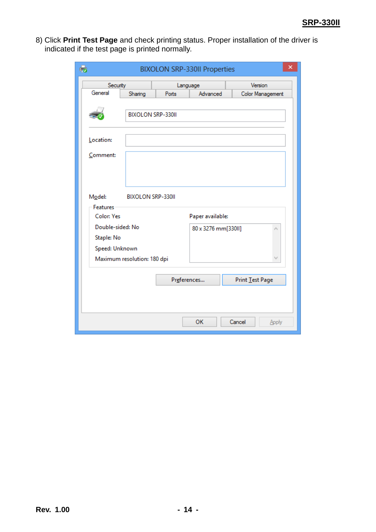8) Click **Print Test Page** and check printing status. Proper installation of the driver is indicated if the test page is printed normally.

| 43<br>×<br><b>BIXOLON SRP-330II Properties</b> |                                 |                          |                     |                  |  |
|------------------------------------------------|---------------------------------|--------------------------|---------------------|------------------|--|
|                                                | Version<br>Security<br>Language |                          |                     |                  |  |
| General                                        | Sharing                         | Ports                    | Advanced            | Color Management |  |
|                                                |                                 | <b>BIXOLON SRP-330II</b> |                     |                  |  |
| Location:                                      |                                 |                          |                     |                  |  |
| Comment:                                       |                                 |                          |                     |                  |  |
| Model:<br><b>Features</b><br><b>Color: Yes</b> | <b>BIXOLON SRP-330II</b>        |                          | Paper available:    |                  |  |
| Double-sided: No                               |                                 |                          | 80 x 3276 mm[330ll] |                  |  |
| Staple: No                                     |                                 |                          |                     |                  |  |
| Speed: Unknown                                 |                                 |                          |                     |                  |  |
|                                                | Maximum resolution: 180 dpi     |                          |                     |                  |  |
|                                                |                                 | Preferences              |                     | Print Test Page  |  |
|                                                |                                 |                          | OK                  | Cancel<br>Apply  |  |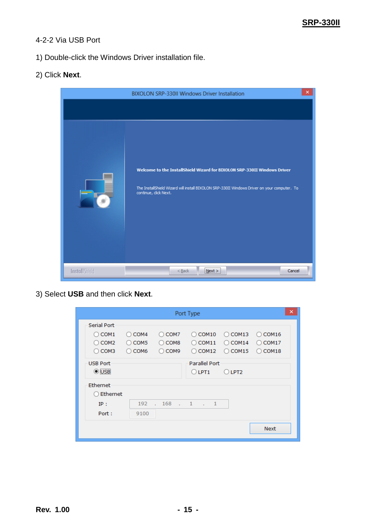#### <span id="page-14-0"></span>4-2-2 Via USB Port

1) Double-click the Windows Driver installation file.

#### 2) Click **Next**.



3) Select **USB** and then click **Next**.

|                    |                       |                       | Port Type                      |              | ×           |
|--------------------|-----------------------|-----------------------|--------------------------------|--------------|-------------|
| <b>Serial Port</b> |                       |                       |                                |              |             |
| $\bigcirc$ COM1    | $\bigcirc$ COM4       | COM7<br>Ο             | COM <sub>10</sub><br>Ω         | COM13<br>( ) | COM16<br>Ω  |
| COM <sub>2</sub>   | COM <sub>5</sub><br>Ω | COM <sub>8</sub><br>O | COM11<br>Ω                     | COM14<br>(   | COM17<br>Ω  |
| COM3               | COM <sub>6</sub><br>Ω | COM9                  | COM12<br>Ω                     | COM15<br>τī  | COM18<br>Ω  |
| <b>USB Port</b>    |                       |                       | Parallel Port                  |              |             |
| $\odot$ USB        |                       |                       | $\bigcirc$ LPT1                | $O$ LPT2     |             |
| Ethernet           |                       |                       |                                |              |             |
| Ethernet           |                       |                       |                                |              |             |
| IP:                | 192                   | 168<br><b>College</b> | $\sim$ 1<br>$\mathbf{1}$<br>÷. |              |             |
| Port:              | 9100                  |                       |                                |              |             |
|                    |                       |                       |                                |              | <b>Next</b> |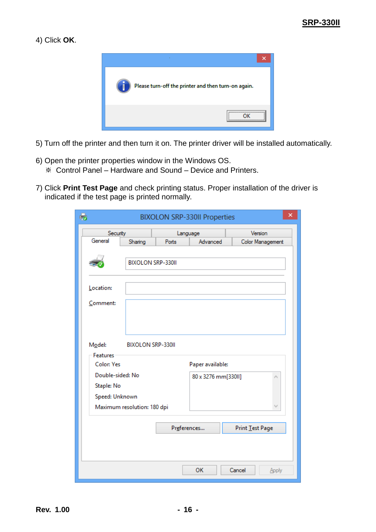#### 4) Click **OK**.



- 5) Turn off the printer and then turn it on. The printer driver will be installed automatically.
- 6) Open the printer properties window in the Windows OS. ※ Control Panel – Hardware and Sound – Device and Printers.
- 7) Click **Print Test Page** and check printing status. Proper installation of the driver is indicated if the test page is printed normally.

| ×<br>t.<br><b>BIXOLON SRP-330II Properties</b>   |                             |                   |                     |                  |  |  |
|--------------------------------------------------|-----------------------------|-------------------|---------------------|------------------|--|--|
| Security                                         |                             |                   | Language            | Version          |  |  |
| General                                          | Sharing                     | Ports             | Advanced            | Color Management |  |  |
|                                                  |                             | BIXOLON SRP-330II |                     |                  |  |  |
| Location:                                        |                             |                   |                     |                  |  |  |
| Comment:                                         |                             |                   |                     |                  |  |  |
| Model:<br><b>Features</b>                        | <b>BIXOLON SRP-330II</b>    |                   |                     |                  |  |  |
| <b>Color: Yes</b>                                |                             |                   | Paper available:    |                  |  |  |
| Double-sided: No<br>Staple: No<br>Speed: Unknown |                             |                   | 80 x 3276 mm[330II] |                  |  |  |
|                                                  | Maximum resolution: 180 dpi |                   |                     |                  |  |  |
|                                                  |                             |                   | Preferences         | Print Test Page  |  |  |
|                                                  |                             |                   |                     |                  |  |  |
|                                                  |                             |                   | OK                  | Cancel<br>Apply  |  |  |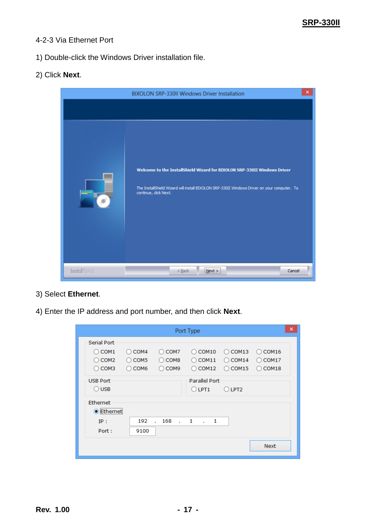#### <span id="page-16-0"></span>4-2-3 Via Ethernet Port

1) Double-click the Windows Driver installation file.

#### 2) Click **Next**.



- 3) Select **Ethernet**.
- 4) Enter the IP address and port number, and then click **Next**.

|                                             |                         |                   | Port Type              |                  |                        | × |
|---------------------------------------------|-------------------------|-------------------|------------------------|------------------|------------------------|---|
| <b>Serial Port</b>                          |                         |                   |                        |                  |                        |   |
| COM <sub>1</sub>                            | COM4<br>Ω               | COM7<br>Ω         | COM <sub>10</sub><br>Ω | COM13<br>(       | COM16<br>(             |   |
| COM <sub>2</sub>                            | COM <sub>5</sub><br>( ) | COM <sub>8</sub>  | COM11<br>Ο             | $\bigcirc$ COM14 | COM <sub>17</sub><br>( |   |
| $\bigcirc$ COM3                             | COM <sub>6</sub><br>Ω   | $\bigcirc$ COM9   | COM12<br>Ω             | $\bigcirc$ COM15 | COM18<br>Ο             |   |
| <b>USB Port</b>                             |                         |                   | <b>Parallel Port</b>   |                  |                        |   |
| $\bigcirc$ USB                              |                         |                   | $\bigcirc$ LPT1        | $O$ LPT2         |                        |   |
| Ethernet                                    |                         |                   |                        |                  |                        |   |
| ,,,,,,,,,,,,,,,,,,,,,,,,,,,,,<br>● Ethernet |                         |                   |                        |                  |                        |   |
| IP:                                         | 192                     | .168<br>$\cdot$ 1 | -1<br>a co             |                  |                        |   |
| Port:                                       | 9100                    |                   |                        |                  |                        |   |
|                                             |                         |                   |                        |                  | <b>Next</b>            |   |
|                                             |                         |                   |                        |                  |                        |   |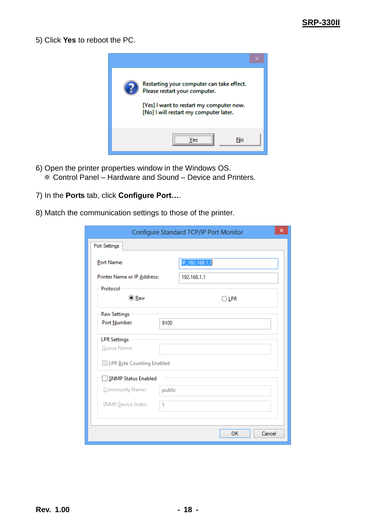5) Click **Yes** to reboot the PC.



- 6) Open the printer properties window in the Windows OS. ※ Control Panel – Hardware and Sound – Device and Printers.
- 7) In the **Ports** tab, click **Configure Port…**.
- 8) Match the communication settings to those of the printer.

|                             |        | Configure Standard TCP/IP Port Monitor | × |
|-----------------------------|--------|----------------------------------------|---|
| Port Settings               |        |                                        |   |
| Port Name:                  |        | IP_192.168.1.1                         |   |
| Printer Name or IP Address: |        | 192.168.1.1                            |   |
| Protocol                    |        |                                        |   |
| <b>● Raw</b>                |        | $\bigcirc$ lpr                         |   |
| <b>Raw Settings</b>         |        |                                        |   |
| Port Number:                | 9100   |                                        |   |
| <b>LPR Settings</b>         |        |                                        |   |
| Queue Name:                 |        |                                        |   |
| LPR Byte Counting Enabled   |        |                                        |   |
| <b>SNMP Status Enabled</b>  |        |                                        |   |
| Community Name:             | public |                                        |   |
| SNMP Device Index:          | 1      |                                        |   |
|                             |        |                                        |   |
|                             |        | OK<br>Cancel                           |   |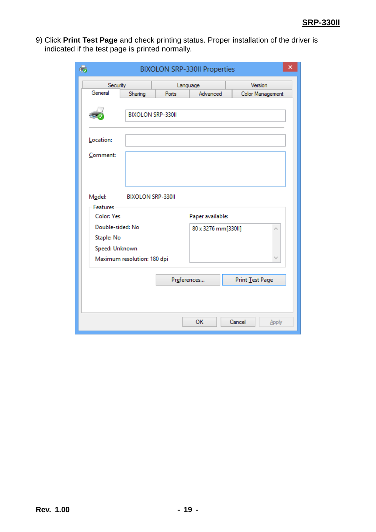9) Click **Print Test Page** and check printing status. Proper installation of the driver is indicated if the test page is printed normally.

| 63<br>×<br><b>BIXOLON SRP-330II Properties</b> |                             |                          |                     |                  |  |
|------------------------------------------------|-----------------------------|--------------------------|---------------------|------------------|--|
| Security                                       |                             |                          | Language            | Version          |  |
| General                                        | Sharing                     | Ports                    | Advanced            | Color Management |  |
|                                                |                             | <b>BIXOLON SRP-330II</b> |                     |                  |  |
| Location:                                      |                             |                          |                     |                  |  |
| Comment:                                       |                             |                          |                     |                  |  |
| Model:<br><b>Features</b>                      | <b>BIXOLON SRP-330II</b>    |                          |                     |                  |  |
| <b>Color: Yes</b>                              |                             |                          | Paper available:    |                  |  |
| Double-sided: No                               |                             |                          | 80 x 3276 mm[330II] |                  |  |
| Staple: No                                     |                             |                          |                     |                  |  |
| Speed: Unknown                                 |                             |                          |                     |                  |  |
|                                                | Maximum resolution: 180 dpi |                          |                     |                  |  |
|                                                |                             | Preferences              |                     | Print Test Page  |  |
|                                                |                             |                          |                     |                  |  |
|                                                |                             |                          | OK                  | Cancel<br>Apply  |  |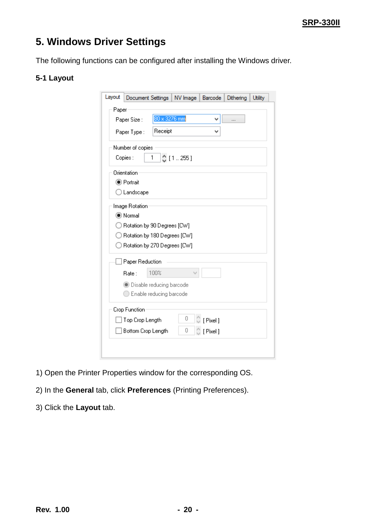## <span id="page-19-0"></span>**5. Windows Driver Settings**

The following functions can be configured after installing the Windows driver.

#### <span id="page-19-1"></span>**5-1 Layout**

| Paper<br>80 x 3276 mm<br>Paper Size:<br>v<br><br>Receipt<br>Paper Type:<br>v<br>Number of copies<br>[1255]<br>Copies:<br>1<br>Orientation<br>● Portrait<br>$\bigcirc$ Landscape<br>Image Rotation<br>◉ Normal<br>) Rotation by 90 Degrees [CW]<br>) Rotation by 180 Degrees [CW]<br>◯ Rotation by 270 Degrees [CW]<br>Paper Reduction<br>100%<br>Rate:<br><b>Disable reducing barcode</b><br>Enable reducing barcode<br>Crop Function<br>0<br>[Pixel]<br>Top Crop Length<br>0<br>Bottom Crop Length<br>[Pixel] | Layout | Document Settings<br>NV Image<br>Barcode<br>Dithering<br><b>Utility</b> |
|----------------------------------------------------------------------------------------------------------------------------------------------------------------------------------------------------------------------------------------------------------------------------------------------------------------------------------------------------------------------------------------------------------------------------------------------------------------------------------------------------------------|--------|-------------------------------------------------------------------------|
|                                                                                                                                                                                                                                                                                                                                                                                                                                                                                                                |        |                                                                         |
|                                                                                                                                                                                                                                                                                                                                                                                                                                                                                                                |        |                                                                         |
|                                                                                                                                                                                                                                                                                                                                                                                                                                                                                                                |        |                                                                         |
|                                                                                                                                                                                                                                                                                                                                                                                                                                                                                                                |        |                                                                         |
|                                                                                                                                                                                                                                                                                                                                                                                                                                                                                                                |        |                                                                         |
|                                                                                                                                                                                                                                                                                                                                                                                                                                                                                                                |        |                                                                         |
|                                                                                                                                                                                                                                                                                                                                                                                                                                                                                                                |        |                                                                         |
|                                                                                                                                                                                                                                                                                                                                                                                                                                                                                                                |        |                                                                         |
|                                                                                                                                                                                                                                                                                                                                                                                                                                                                                                                |        |                                                                         |
|                                                                                                                                                                                                                                                                                                                                                                                                                                                                                                                |        |                                                                         |
|                                                                                                                                                                                                                                                                                                                                                                                                                                                                                                                |        |                                                                         |
|                                                                                                                                                                                                                                                                                                                                                                                                                                                                                                                |        |                                                                         |
|                                                                                                                                                                                                                                                                                                                                                                                                                                                                                                                |        |                                                                         |
|                                                                                                                                                                                                                                                                                                                                                                                                                                                                                                                |        |                                                                         |
|                                                                                                                                                                                                                                                                                                                                                                                                                                                                                                                |        |                                                                         |
|                                                                                                                                                                                                                                                                                                                                                                                                                                                                                                                |        |                                                                         |
|                                                                                                                                                                                                                                                                                                                                                                                                                                                                                                                |        |                                                                         |
|                                                                                                                                                                                                                                                                                                                                                                                                                                                                                                                |        |                                                                         |
|                                                                                                                                                                                                                                                                                                                                                                                                                                                                                                                |        |                                                                         |
|                                                                                                                                                                                                                                                                                                                                                                                                                                                                                                                |        |                                                                         |
|                                                                                                                                                                                                                                                                                                                                                                                                                                                                                                                |        |                                                                         |

- 1) Open the Printer Properties window for the corresponding OS.
- 2) In the **General** tab, click **Preferences** (Printing Preferences).
- 3) Click the **Layout** tab.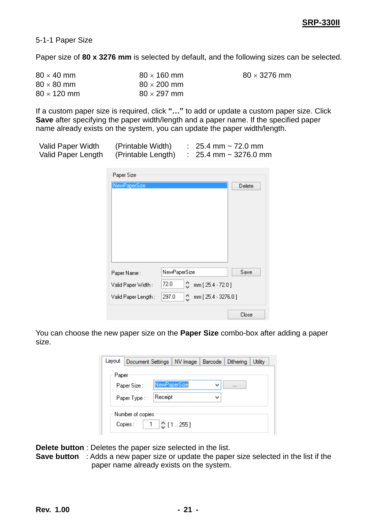$80 \times 3276$  mm

<span id="page-20-0"></span>5-1-1 Paper Size

Paper size of **80 x 3276 mm** is selected by default, and the following sizes can be selected.

| $80 \times 40$ mm  | $80 \times 160$ mm |
|--------------------|--------------------|
| $80 \times 80$ mm  | $80 \times 200$ mm |
| $80 \times 120$ mm | $80 \times 297$ mm |

If a custom paper size is required, click **"…"** to add or update a custom paper size. Click **Save** after specifying the paper width/length and a paper name. If the specified paper name already exists on the system, you can update the paper width/length.

| Valid Paper Width  | (Printable Width)  | : $25.4 \text{ mm} \sim 72.0 \text{ mm}$ |
|--------------------|--------------------|------------------------------------------|
| Valid Paper Length | (Printable Length) | $\therefore$ 25.4 mm ~ 3276.0 mm         |

| Paper Size           |                                  |        |
|----------------------|----------------------------------|--------|
| NewPaperSize         |                                  | Delete |
|                      |                                  |        |
|                      |                                  |        |
|                      |                                  |        |
|                      |                                  |        |
|                      |                                  |        |
|                      |                                  |        |
| Paper Name:          | NewPaperSize                     | Save   |
| Valid Paper Width :  | 72.0<br>٥<br>mm [ 25.4 - 72.0 ]  |        |
| Valid Paper Length : | mm [25.4 - 3276.0]<br>297.0<br>≎ |        |
|                      |                                  | Close  |

You can choose the new paper size on the **Paper Size** combo-box after adding a paper size.

|                         | Layout   Document Settings   NV Image   Barcode   Dithering |              |                        |   | Utility |
|-------------------------|-------------------------------------------------------------|--------------|------------------------|---|---------|
| Paper                   |                                                             |              |                        |   |         |
| Paper Size:             |                                                             | NewPaperSize |                        | v |         |
| Receipt<br>Paper Type : |                                                             |              |                        | v |         |
|                         | Number of copies<br>Copies :                                |              | $1 \mid \circ$ [1.255] |   |         |

**Delete button** : Deletes the paper size selected in the list.

**Save button** : Adds a new paper size or update the paper size selected in the list if the paper name already exists on the system.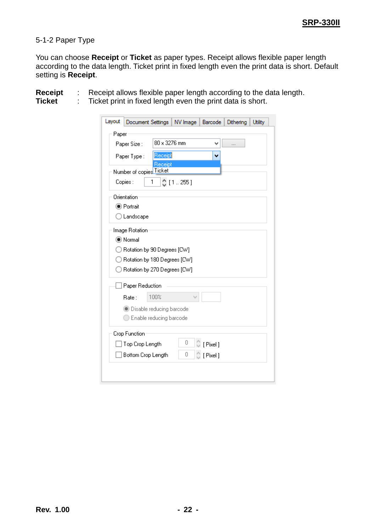#### <span id="page-21-0"></span>5-1-2 Paper Type

You can choose **Receipt** or **Ticket** as paper types. Receipt allows flexible paper length according to the data length. Ticket print in fixed length even the print data is short. Default setting is **Receipt**.

**Receipt** : Receipt allows flexible paper length according to the data length.<br>**Ticket** : Ticket print in fixed length even the print data is short.

**Ticket** : Ticket print in fixed length even the print data is short.

| Layout<br>Document Settings<br>NV Image<br><b>Barcode</b><br>Dithering | <b>Utility</b> |  |  |  |  |  |  |
|------------------------------------------------------------------------|----------------|--|--|--|--|--|--|
| Paper                                                                  |                |  |  |  |  |  |  |
| 80 x 3276 mm<br>Paper Size:<br>v<br>$\cdots$                           |                |  |  |  |  |  |  |
| Receipt<br>Paper Type:<br>v                                            |                |  |  |  |  |  |  |
| Receipt<br>Number of copies Ticket                                     |                |  |  |  |  |  |  |
|                                                                        |                |  |  |  |  |  |  |
| Copies:<br>[1255]<br>1                                                 |                |  |  |  |  |  |  |
| Orientation                                                            |                |  |  |  |  |  |  |
| ◉ Portrait                                                             |                |  |  |  |  |  |  |
| $\bigcirc$ Landscape                                                   |                |  |  |  |  |  |  |
| Image Rotation                                                         |                |  |  |  |  |  |  |
| (C) Normal                                                             |                |  |  |  |  |  |  |
| Rotation by 90 Degrees [CW]                                            |                |  |  |  |  |  |  |
| Rotation by 180 Degrees [CW]                                           |                |  |  |  |  |  |  |
| ◯ Rotation by 270 Degrees [CW]                                         |                |  |  |  |  |  |  |
| Paper Reduction                                                        |                |  |  |  |  |  |  |
| 100%<br>Rate :                                                         |                |  |  |  |  |  |  |
| <b>Disable reducing barcode</b>                                        |                |  |  |  |  |  |  |
| Enable reducing barcode                                                |                |  |  |  |  |  |  |
| Crop Function                                                          |                |  |  |  |  |  |  |
| Ū<br>[Pixel]<br>Top Crop Length                                        |                |  |  |  |  |  |  |
| Ω<br>Bottom Crop Length                                                |                |  |  |  |  |  |  |
| [Pixel]                                                                |                |  |  |  |  |  |  |
|                                                                        |                |  |  |  |  |  |  |
|                                                                        |                |  |  |  |  |  |  |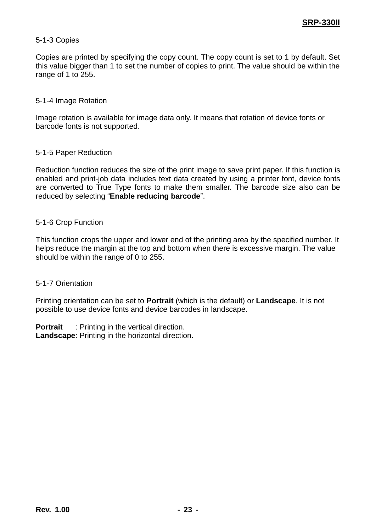#### <span id="page-22-0"></span>5-1-3 Copies

Copies are printed by specifying the copy count. The copy count is set to 1 by default. Set this value bigger than 1 to set the number of copies to print. The value should be within the range of 1 to 255.

#### <span id="page-22-1"></span>5-1-4 Image Rotation

Image rotation is available for image data only. It means that rotation of device fonts or barcode fonts is not supported.

#### <span id="page-22-2"></span>5-1-5 Paper Reduction

Reduction function reduces the size of the print image to save print paper. If this function is enabled and print-job data includes text data created by using a printer font, device fonts are converted to True Type fonts to make them smaller. The barcode size also can be reduced by selecting "**Enable reducing barcode**".

#### <span id="page-22-3"></span>5-1-6 Crop Function

This function crops the upper and lower end of the printing area by the specified number. It helps reduce the margin at the top and bottom when there is excessive margin. The value should be within the range of 0 to 255.

#### <span id="page-22-4"></span>5-1-7 Orientation

Printing orientation can be set to **Portrait** (which is the default) or **Landscape**. It is not possible to use device fonts and device barcodes in landscape.

**Portrait** : Printing in the vertical direction. **Landscape**: Printing in the horizontal direction.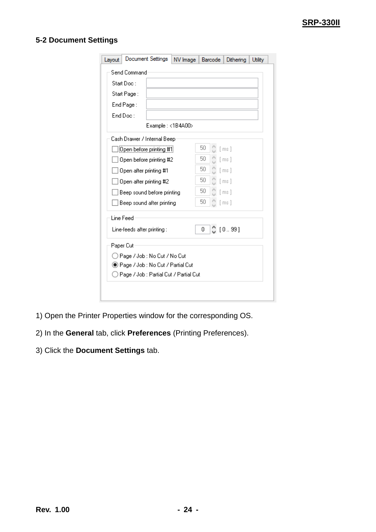#### <span id="page-23-0"></span>**5-2 Document Settings**

| Layout                                   | Document Settings   NV Image |  | <b>Barcode</b> | Dithering | <b>Utility</b> |  |  |  |  |
|------------------------------------------|------------------------------|--|----------------|-----------|----------------|--|--|--|--|
| Send Command                             |                              |  |                |           |                |  |  |  |  |
| Start Doc:                               |                              |  |                |           |                |  |  |  |  |
|                                          | Start Page:                  |  |                |           |                |  |  |  |  |
|                                          | End Page:                    |  |                |           |                |  |  |  |  |
|                                          | End Doc:                     |  |                |           |                |  |  |  |  |
|                                          | Example: <1B4A00>            |  |                |           |                |  |  |  |  |
|                                          | Cash Drawer / Internal Beep  |  |                |           |                |  |  |  |  |
|                                          | Open before printing #1      |  | 50             | [ms]      |                |  |  |  |  |
|                                          | Open before printing #2      |  | 50             | [ms]      |                |  |  |  |  |
|                                          | Open after printing #1       |  | 50             | [ms]      |                |  |  |  |  |
|                                          | Open after printing #2       |  | 50             | [ms]      |                |  |  |  |  |
|                                          | Beep sound before printing   |  | 50             | [ms]      |                |  |  |  |  |
|                                          | Beep sound after printing    |  | 50             | [ms]      |                |  |  |  |  |
| <b>Line Feed</b>                         |                              |  |                |           |                |  |  |  |  |
|                                          | Line-feeds after printing :  |  | 0              | [099]     |                |  |  |  |  |
| Paper Cut                                |                              |  |                |           |                |  |  |  |  |
| ) Page / Job : No Cut / No Cut           |                              |  |                |           |                |  |  |  |  |
| ◉ Page / Job : No Cut / Partial Cut      |                              |  |                |           |                |  |  |  |  |
| ◯ Page / Job : Partial Cut / Partial Cut |                              |  |                |           |                |  |  |  |  |
|                                          |                              |  |                |           |                |  |  |  |  |
|                                          |                              |  |                |           |                |  |  |  |  |

- 1) Open the Printer Properties window for the corresponding OS.
- 2) In the **General** tab, click **Preferences** (Printing Preferences).
- 3) Click the **Document Settings** tab.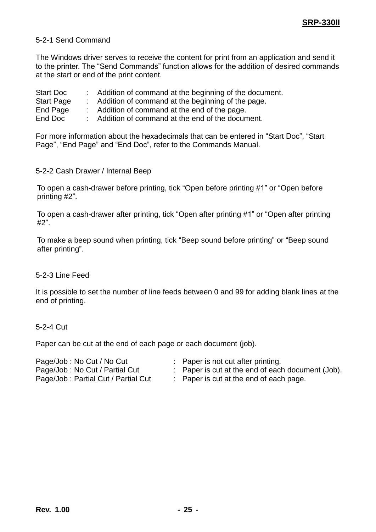#### <span id="page-24-0"></span>5-2-1 Send Command

The Windows driver serves to receive the content for print from an application and send it to the printer. The "Send Commands" function allows for the addition of desired commands at the start or end of the print content.

| <b>Start Doc</b>  | Addition of command at the beginning of the document. |
|-------------------|-------------------------------------------------------|
| <b>Start Page</b> | Addition of command at the beginning of the page.     |

End Page : Addition of command at the end of the page.

End Doc : Addition of command at the end of the document.

For more information about the hexadecimals that can be entered in "Start Doc", "Start Page", "End Page" and "End Doc", refer to the Commands Manual.

<span id="page-24-1"></span>5-2-2 Cash Drawer / Internal Beep

To open a cash-drawer before printing, tick "Open before printing #1" or "Open before printing #2".

To open a cash-drawer after printing, tick "Open after printing #1" or "Open after printing #2".

To make a beep sound when printing, tick "Beep sound before printing" or "Beep sound after printing".

#### <span id="page-24-2"></span>5-2-3 Line Feed

It is possible to set the number of line feeds between 0 and 99 for adding blank lines at the end of printing.

#### <span id="page-24-3"></span>5-2-4 Cut

Paper can be cut at the end of each page or each document (job).

| Page/Job: No Cut / No Cut           |  | : Paper is not cut after printing.                |
|-------------------------------------|--|---------------------------------------------------|
| Page/Job: No Cut / Partial Cut      |  | : Paper is cut at the end of each document (Job). |
| Page/Job: Partial Cut / Partial Cut |  | : Paper is cut at the end of each page.           |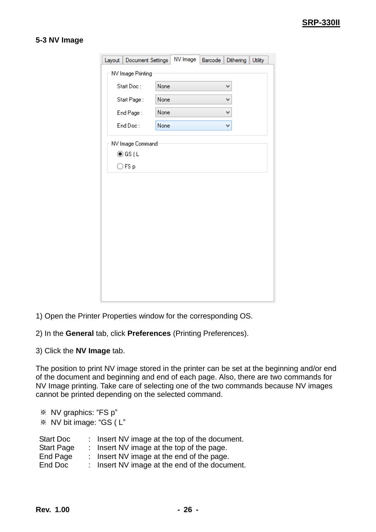#### <span id="page-25-0"></span>**5-3 NV Image**

| Layout   Document Settings |      | NV Image | Barcode | Dithering | <b>Utility</b> |  |
|----------------------------|------|----------|---------|-----------|----------------|--|
| NV Image Printing          |      |          |         |           |                |  |
| Start Doc:                 | None |          |         | v         |                |  |
| Start Page:                | None |          |         | v         |                |  |
| End Page:                  | None |          |         | v         |                |  |
| End Doc:                   | None |          |         | v         |                |  |
| NV Image Command           |      |          |         |           |                |  |
| ◉ GS (L                    |      |          |         |           |                |  |
| $\bigcirc$ FS p            |      |          |         |           |                |  |
|                            |      |          |         |           |                |  |
|                            |      |          |         |           |                |  |
|                            |      |          |         |           |                |  |
|                            |      |          |         |           |                |  |
|                            |      |          |         |           |                |  |
|                            |      |          |         |           |                |  |
|                            |      |          |         |           |                |  |
|                            |      |          |         |           |                |  |
|                            |      |          |         |           |                |  |
|                            |      |          |         |           |                |  |
|                            |      |          |         |           |                |  |

- 1) Open the Printer Properties window for the corresponding OS.
- 2) In the **General** tab, click **Preferences** (Printing Preferences).
- 3) Click the **NV Image** tab.

The position to print NV image stored in the printer can be set at the beginning and/or end of the document and beginning and end of each page. Also, there are two commands for NV Image printing. Take care of selecting one of the two commands because NV images cannot be printed depending on the selected command.

| ※ NV graphics: "FS p"   |  |                                               |  |  |  |  |  |
|-------------------------|--|-----------------------------------------------|--|--|--|--|--|
| * NV bit image: "GS (L" |  |                                               |  |  |  |  |  |
|                         |  |                                               |  |  |  |  |  |
| <b>Start Doc</b>        |  | : Insert NV image at the top of the document. |  |  |  |  |  |
| <b>Start Page</b>       |  | : Insert NV image at the top of the page.     |  |  |  |  |  |
| <b>End Page</b>         |  | : Insert NV image at the end of the page.     |  |  |  |  |  |
| End Doc                 |  | : Insert NV image at the end of the document. |  |  |  |  |  |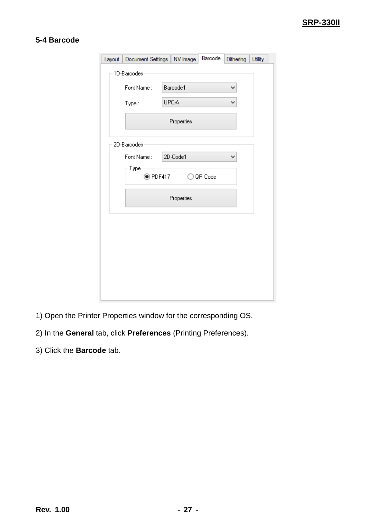#### <span id="page-26-0"></span>**5-4 Barcode**

| Layout   Document Settings   NV Image |   |            | Barcode   | Dithering | <b>Utility</b> |  |  |
|---------------------------------------|---|------------|-----------|-----------|----------------|--|--|
| 1D-Barcodes                           |   |            |           |           |                |  |  |
| Font Name:                            | v |            |           |           |                |  |  |
|                                       |   | Barcode1   |           |           |                |  |  |
| Type:                                 |   | UPC-A      |           | v         |                |  |  |
|                                       |   | Properties |           |           |                |  |  |
| 2D-Barcodes                           |   |            |           |           |                |  |  |
| Font Name:                            |   | 2D-Code1   |           | v         |                |  |  |
| Type<br>$\odot$ PDF417                |   |            | ○ QR Code |           |                |  |  |
|                                       |   | Properties |           |           |                |  |  |
|                                       |   |            |           |           |                |  |  |
|                                       |   |            |           |           |                |  |  |
|                                       |   |            |           |           |                |  |  |
|                                       |   |            |           |           |                |  |  |
|                                       |   |            |           |           |                |  |  |
|                                       |   |            |           |           |                |  |  |
|                                       |   |            |           |           |                |  |  |

- 1) Open the Printer Properties window for the corresponding OS.
- 2) In the **General** tab, click **Preferences** (Printing Preferences).
- 3) Click the **Barcode** tab.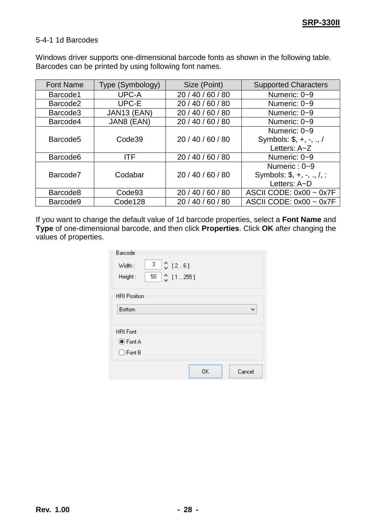#### <span id="page-27-0"></span>5-4-1 1d Barcodes

Windows driver supports one-dimensional barcode fonts as shown in the following table. Barcodes can be printed by using following font names.

| <b>Font Name</b>     | Type (Symbology)   | Size (Point)      | <b>Supported Characters</b> |
|----------------------|--------------------|-------------------|-----------------------------|
| Barcode1             | UPC-A              | 20 / 40 / 60 / 80 | Numeric: 0~9                |
| Barcode <sub>2</sub> | UPC-E              | 20 / 40 / 60 / 80 | Numeric: 0~9                |
| Barcode3             | JAN13 (EAN)        | 20 / 40 / 60 / 80 | Numeric: 0~9                |
| Barcode4             | JAN8 (EAN)         | 20 / 40 / 60 / 80 | Numeric: 0~9                |
|                      |                    |                   | Numeric: 0~9                |
| Barcode <sub>5</sub> | Code39             | 20 / 40 / 60 / 80 | Symbols: $$, +, -, ., /$    |
|                      |                    |                   | Letters: A~Z                |
| Barcode <sub>6</sub> | <b>ITF</b>         | 20 / 40 / 60 / 80 | Numeric: 0~9                |
|                      |                    |                   | Numeric: $0 - 9$            |
| Barcode7             | Codabar            | 20 / 40 / 60 / 80 | Symbols: $$, +, -, ., /, :$ |
|                      |                    |                   | Letters: $A\neg D$          |
| Barcode8             | Code <sub>93</sub> | 20/40/60/80       | ASCII CODE: $0x00 - 0x7F$   |
| Barcode9             | Code128            | 20/40/60/80       | ASCII CODE: $0x00 - 0x7F$   |

If you want to change the default value of 1d barcode properties, select a **Font Name** and **Type** of one-dimensional barcode, and then click **Properties**. Click **OK** after changing the values of properties.

| Barcode             |                                       |
|---------------------|---------------------------------------|
| Width:              | $3$ $\circ$ $[2.6]$                   |
| Height:             | $50$ $\circ$ $[$ $\circ$ $[$ 1  255 ] |
| <b>HRI Position</b> |                                       |
| <b>B</b> ottom      | v                                     |
| <b>HRI</b> Font     |                                       |
| <b>● Font A</b>     |                                       |
| $\bigcirc$ Font B   |                                       |
|                     | 0K<br>Cancel                          |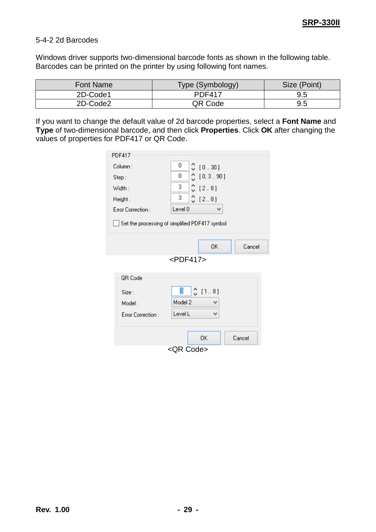#### <span id="page-28-0"></span>5-4-2 2d Barcodes

Windows driver supports two-dimensional barcode fonts as shown in the following table. Barcodes can be printed on the printer by using following font names.

| Font Name | Type (Symbology) | Size (Point) |
|-----------|------------------|--------------|
| 2D-Code1  | <b>PDF417</b>    | 9.5          |
| 2D-Code2  | QR Code          | 9.5          |

If you want to change the default value of 2d barcode properties, select a **Font Name** and **Type** of two-dimensional barcode, and then click **Properties**. Click **OK** after changing the values of properties for PDF417 or QR Code.

| <b>PDF417</b>     |                                                |
|-------------------|------------------------------------------------|
| Column:           | 0<br>♡ [0.30]                                  |
| Step:             | 0.10, 3.001<br>0                               |
| Width:            | $2$ [2.8]<br>3                                 |
| Height:           | 3<br>$C$ [2.8]                                 |
| Error Correction: | Level 0<br>v                                   |
|                   | Set the processing of simplified PDF417 symbol |
|                   | Cancel<br>0K                                   |
|                   | $<$ PDF417>                                    |
| QR Code           |                                                |
| Size:<br>Model:   | 3<br>$C$ [1.8]<br>Model 2<br>v                 |
| Error Correction: | Level L<br>v                                   |
|                   | Cancel<br>OΚ                                   |
|                   | <qr code=""></qr>                              |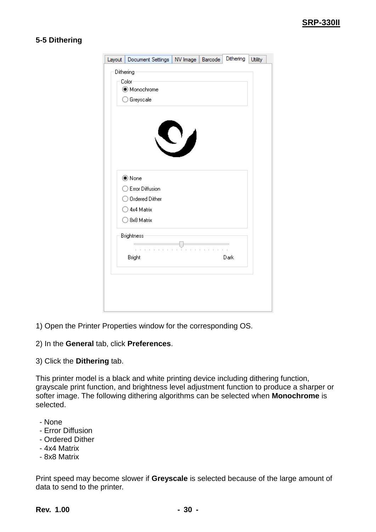#### <span id="page-29-0"></span>**5-5 Dithering**

|           | Layout   Document Settings   NV Image   Barcode |                                      | Dithering | <b>Utility</b> |
|-----------|-------------------------------------------------|--------------------------------------|-----------|----------------|
| Dithering |                                                 |                                      |           |                |
|           | Color                                           |                                      |           |                |
|           | Monochrome                                      |                                      |           |                |
|           | ◯ Greyscale                                     |                                      |           |                |
|           |                                                 |                                      |           |                |
|           |                                                 |                                      |           |                |
|           |                                                 |                                      |           |                |
|           |                                                 | $\sum_{i=1}^{n}$                     |           |                |
|           |                                                 |                                      |           |                |
|           |                                                 |                                      |           |                |
|           | ◉ None                                          |                                      |           |                |
|           | ◯ Error Diffusion                               |                                      |           |                |
|           | ◯ Ordered Dither                                |                                      |           |                |
|           | $\bigcirc$ 4x4 Matrix                           |                                      |           |                |
|           | ◯ 8x8 Matrix                                    |                                      |           |                |
|           | <b>Brightness</b>                               |                                      |           |                |
|           | $\bar{1}$<br>$\mathbb{R}^2$                     | ī.<br>$\mathbb{L}$<br>ï<br>$\bar{1}$ |           |                |
|           | Bright                                          |                                      | Dark      |                |
|           |                                                 |                                      |           |                |
|           |                                                 |                                      |           |                |
|           |                                                 |                                      |           |                |
|           |                                                 |                                      |           |                |
|           |                                                 |                                      |           |                |

- 1) Open the Printer Properties window for the corresponding OS.
- 2) In the **General** tab, click **Preferences**.
- 3) Click the **Dithering** tab.

This printer model is a black and white printing device including dithering function, grayscale print function, and brightness level adjustment function to produce a sharper or softer image. The following dithering algorithms can be selected when **Monochrome** is selected.

- None
- Error Diffusion
- Ordered Dither
- 4x4 Matrix
- 8x8 Matrix

Print speed may become slower if **Greyscale** is selected because of the large amount of data to send to the printer.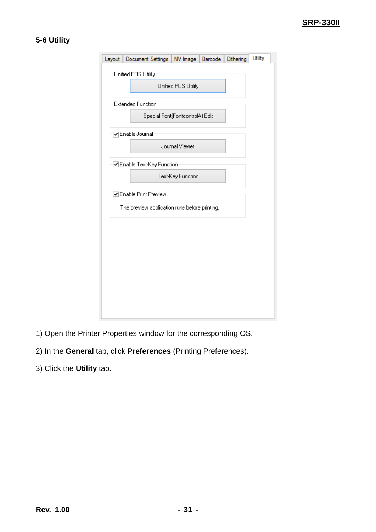#### <span id="page-30-0"></span>**5-6 Utility**

| Layout | Document Settings   NV Image   Barcode        |                                 |  | Dithering | <b>Utility</b> |  |  |  |  |
|--------|-----------------------------------------------|---------------------------------|--|-----------|----------------|--|--|--|--|
|        | Unified POS Utility                           |                                 |  |           |                |  |  |  |  |
|        | Unified POS Utility                           |                                 |  |           |                |  |  |  |  |
|        |                                               |                                 |  |           |                |  |  |  |  |
|        | <b>Extended Function</b>                      |                                 |  |           |                |  |  |  |  |
|        |                                               | Special Font(FontcontrolA) Edit |  |           |                |  |  |  |  |
|        | VEnable Journal                               |                                 |  |           |                |  |  |  |  |
|        |                                               | Journal Viewer                  |  |           |                |  |  |  |  |
|        | ☑ Enable Text-Key Function                    |                                 |  |           |                |  |  |  |  |
|        |                                               | Text-Key Function               |  |           |                |  |  |  |  |
|        | ☑ Enable Print Preview                        |                                 |  |           |                |  |  |  |  |
|        | The preview application runs before printing. |                                 |  |           |                |  |  |  |  |
|        |                                               |                                 |  |           |                |  |  |  |  |
|        |                                               |                                 |  |           |                |  |  |  |  |
|        |                                               |                                 |  |           |                |  |  |  |  |
|        |                                               |                                 |  |           |                |  |  |  |  |
|        |                                               |                                 |  |           |                |  |  |  |  |
|        |                                               |                                 |  |           |                |  |  |  |  |
|        |                                               |                                 |  |           |                |  |  |  |  |
|        |                                               |                                 |  |           |                |  |  |  |  |
|        |                                               |                                 |  |           |                |  |  |  |  |

- 1) Open the Printer Properties window for the corresponding OS.
- 2) In the **General** tab, click **Preferences** (Printing Preferences).
- 3) Click the **Utility** tab.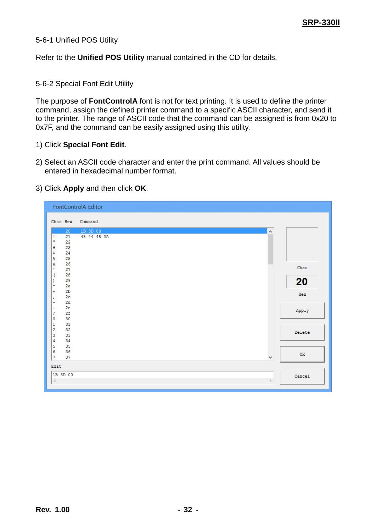#### <span id="page-31-0"></span>5-6-1 Unified POS Utility

Refer to the **Unified POS Utility** manual contained in the CD for details.

#### <span id="page-31-1"></span>5-6-2 Special Font Edit Utility

The purpose of **FontControlA** font is not for text printing. It is used to define the printer command, assign the defined printer command to a specific ASCII character, and send it to the printer. The range of ASCII code that the command can be assigned is from 0x20 to 0x7F, and the command can be easily assigned using this utility.

#### 1) Click **Special Font Edit**.

2) Select an ASCII code character and enter the print command. All values should be entered in hexadecimal number format.

#### 3) Click **Apply** and then click **OK**.

|                                                       | FontControlA Editor     |        |        |
|-------------------------------------------------------|-------------------------|--------|--------|
| Char Hex                                              | Command                 |        |        |
| 20<br>21<br>Ţ<br>Ħ<br>22                              | 1B 3D 00<br>48 44 48 OA | A      |        |
| 23<br>#<br>24<br>\$                                   |                         |        |        |
| 25<br>ş.<br>26<br>£.<br>27<br>×                       |                         |        | Char   |
| 28<br>C<br>29<br>١<br>₩<br>2a                         |                         |        | 20     |
| 2 <sub>b</sub><br>÷<br>2 <sub>c</sub><br>×<br>2d<br>- |                         |        | Hex    |
| 2e<br>٠<br>2f<br>7<br>30<br>0                         |                         |        | Apply  |
| 31<br>1<br>32<br>2<br>3<br>33                         |                         |        | Delete |
| 4<br>34<br>5<br>35<br>6<br>36                         |                         |        | OK     |
| 7<br>37<br>Edit                                       |                         | ٧      |        |
| 1B 3D 00<br>$\,<$                                     |                         | $\geq$ | Cancel |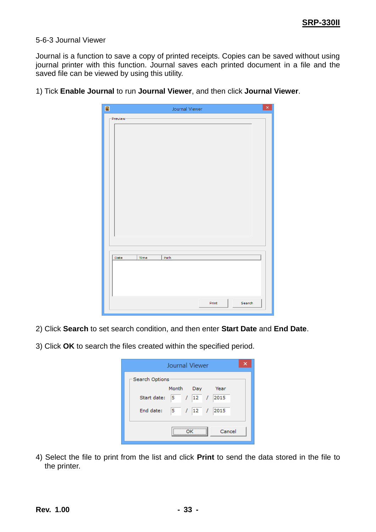#### <span id="page-32-0"></span>5-6-3 Journal Viewer

Journal is a function to save a copy of printed receipts. Copies can be saved without using journal printer with this function. Journal saves each printed document in a file and the saved file can be viewed by using this utility.

| $\blacksquare$ | Journal Viewer  | $\times$ |
|----------------|-----------------|----------|
| - Preview-     |                 |          |
|                |                 |          |
|                |                 |          |
|                |                 |          |
|                |                 |          |
|                |                 |          |
|                |                 |          |
|                |                 |          |
|                |                 |          |
|                |                 |          |
|                |                 |          |
|                |                 |          |
|                |                 |          |
|                |                 |          |
|                |                 |          |
|                |                 |          |
| Time<br>Date   | Path            |          |
|                |                 |          |
|                |                 |          |
|                |                 |          |
|                |                 |          |
|                | Search<br>Print |          |
|                |                 |          |

1) Tick **Enable Journal** to run **Journal Viewer**, and then click **Journal Viewer**.

- 2) Click **Search** to set search condition, and then enter **Start Date** and **End Date**.
- 3) Click **OK** to search the files created within the specified period.

| Journal Viewer               |  |  |  |  |  |
|------------------------------|--|--|--|--|--|
| Search Options               |  |  |  |  |  |
| Month Day<br>Year            |  |  |  |  |  |
| 5 / 12 / 2015<br>Start date: |  |  |  |  |  |
| 5 / 12 / 2015<br>End date:   |  |  |  |  |  |
| Cancel                       |  |  |  |  |  |

4) Select the file to print from the list and click **Print** to send the data stored in the file to the printer.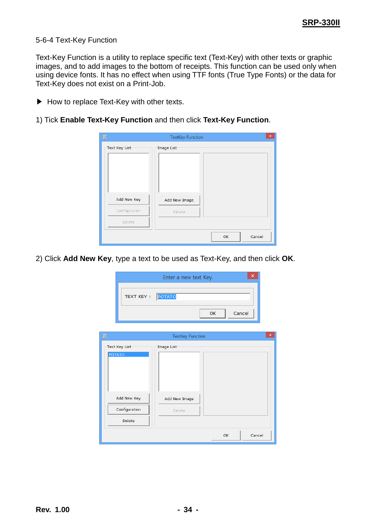#### <span id="page-33-0"></span>5-6-4 Text-Key Function

Text-Key Function is a utility to replace specific text (Text-Key) with other texts or graphic images, and to add images to the bottom of receipts. This function can be used only when using device fonts. It has no effect when using TTF fonts (True Type Fonts) or the data for Text-Key does not exist on a Print-Job.

- ▶ How to replace Text-Key with other texts.
- 1) Tick **Enable Text-Key Function** and then click **Text-Key Function**.

| Ð                      | <b>TextKey Function</b> |    | ×      |
|------------------------|-------------------------|----|--------|
| $\Gamma$ Text Key List | Image List-             |    |        |
| Add New Key            | Add New Image           |    |        |
| Configuration          | Delete                  |    |        |
| Delete                 |                         |    |        |
|                        |                         | OK | Cancel |

2) Click **Add New Key**, type a text to be used as Text-Key, and then click **OK**.

|               | ×<br>Enter a new text Key. |                         |    |    |        |   |
|---------------|----------------------------|-------------------------|----|----|--------|---|
|               | <b>TEXT KEY:</b>           | POTATO                  |    |    |        |   |
|               |                            |                         | OK |    | Cancel |   |
| Ø             |                            | <b>TextKey Function</b> |    |    |        | × |
| <b>POTATO</b> | -Text Key List             | Image List-             |    |    |        |   |
|               | Add New Key                | Add New Image           |    |    |        |   |
|               | Configuration              | Delete                  |    |    |        |   |
|               | Delete                     |                         |    |    |        |   |
|               |                            |                         |    | OK | Cancel |   |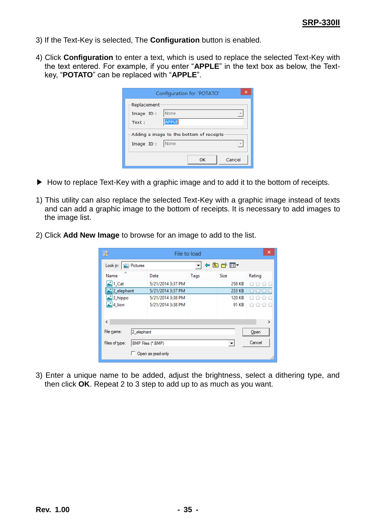- 3) If the Text-Key is selected, The **Configuration** button is enabled.
- 4) Click **Configuration** to enter a text, which is used to replace the selected Text-Key with the text entered. For example, if you enter "**APPLE**" in the text box as below, the Textkey, "**POTATO**" can be replaced with "**APPLE**".

|                           | Configuration for 'POTATO'                 |  |  |  |  |
|---------------------------|--------------------------------------------|--|--|--|--|
| -Replacement<br>Image ID: | None                                       |  |  |  |  |
| Text:                     | <b>APPLE</b>                               |  |  |  |  |
|                           | -Adding a image to the bottom of receipts: |  |  |  |  |
| Image ID:                 | <b>None</b>                                |  |  |  |  |
|                           | Cancel<br>OK                               |  |  |  |  |

- ▶ How to replace Text-Key with a graphic image and to add it to the bottom of receipts.
- 1) This utility can also replace the selected Text-Key with a graphic image instead of texts and can add a graphic image to the bottom of receipts. It is necessary to add images to the image list.
- 2) Click **Add New Image** to browse for an image to add to the list.

|                      | File to load                     |                   |      |             |                                                                               |  |  |  |
|----------------------|----------------------------------|-------------------|------|-------------|-------------------------------------------------------------------------------|--|--|--|
| Look in:             | <b>Ein</b> Pictures              |                   |      | ←自感图▼       |                                                                               |  |  |  |
| ∽<br>Name            |                                  | Date              | Tags | <b>Size</b> | Rating                                                                        |  |  |  |
| 리1 Cat               |                                  | 5/21/2014 3:37 PM |      | 258 KB      | 참 찮 않 같                                                                       |  |  |  |
| <u>L</u> 2_elephant  |                                  | 5/21/2014 3:37 PM |      | 233 KB      | WWWW                                                                          |  |  |  |
| 3_hippo              |                                  | 5/21/2014 3:38 PM |      | 120 KB      | ****                                                                          |  |  |  |
| $\frac{1}{2}$ 4 lion |                                  | 5/21/2014 3:38 PM |      |             | $91$ KB $\frac{1}{2}$ $\frac{1}{2}$ $\frac{1}{2}$ $\frac{1}{2}$ $\frac{1}{2}$ |  |  |  |
|                      |                                  |                   |      |             |                                                                               |  |  |  |
| ∢                    |                                  |                   |      |             | ъ                                                                             |  |  |  |
| File name:           | 2_elephant<br>Open               |                   |      |             |                                                                               |  |  |  |
| Files of type:       | Cancel<br>BMP Files (*.BMP)<br>▼ |                   |      |             |                                                                               |  |  |  |
|                      | Open as read-only                |                   |      |             |                                                                               |  |  |  |

3) Enter a unique name to be added, adjust the brightness, select a dithering type, and then click **OK**. Repeat 2 to 3 step to add up to as much as you want.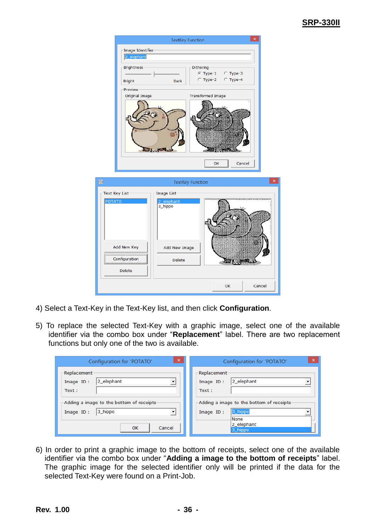#### **SRP-330II**



- 4) Select a Text-Key in the Text-Key list, and then click **Configuration**.
- 5) To replace the selected Text-Key with a graphic image, select one of the available identifier via the combo box under "**Replacement**" label. There are two replacement functions but only one of the two is available.

| $\mathbf{x}$                                                                 | $\boldsymbol{\mathsf{x}}$                        |
|------------------------------------------------------------------------------|--------------------------------------------------|
| Configuration for 'POTATO'                                                   | Configuration for 'POTATO'                       |
| Replacement-<br>2_elephant<br>$\overline{\phantom{a}}$<br>Image ID:<br>Text: | Replacement-<br>2_elephant<br>Image ID:<br>Text: |
| Adding a image to the bottom of receipts                                     | Adding a image to the bottom of receipts         |
| 3_hippo                                                                      | 3_hippo                                          |
| $\overline{\phantom{a}}$                                                     | Image ID:                                        |
| Image ID:                                                                    | None                                             |
| Cancel                                                                       | 2_elephant                                       |
| OK                                                                           | 3_hippo                                          |

6) In order to print a graphic image to the bottom of receipts, select one of the available identifier via the combo box under "**Adding a image to the bottom of receipts**" label. The graphic image for the selected identifier only will be printed if the data for the selected Text-Key were found on a Print-Job.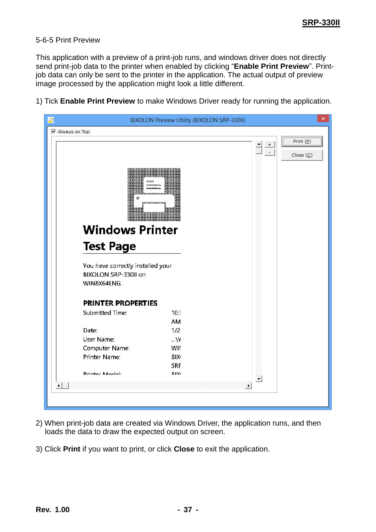#### <span id="page-36-0"></span>5-6-5 Print Preview

This application with a preview of a print-job runs, and windows driver does not directly send print-job data to the printer when enabled by clicking "**Enable Print Preview**". Printjob data can only be sent to the printer in the application. The actual output of preview image processed by the application might look a little different.

1) Tick **Enable Print Preview** to make Windows Driver ready for running the application.



- 2) When print-job data are created via Windows Driver, the application runs, and then loads the data to draw the expected output on screen.
- 3) Click **Print** if you want to print, or click **Close** to exit the application.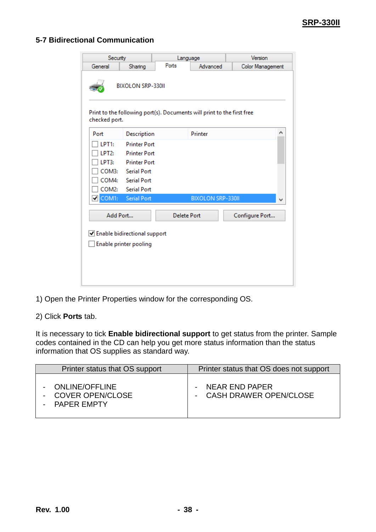#### <span id="page-37-0"></span>**5-7 Bidirectional Communication**

| Security           |                                | Language                                                               |                          | Version                 |   |
|--------------------|--------------------------------|------------------------------------------------------------------------|--------------------------|-------------------------|---|
| General            | Ports<br>Sharing               |                                                                        | Advanced                 | <b>Color Management</b> |   |
|                    | <b>BIXOLON SRP-330II</b>       |                                                                        |                          |                         |   |
| checked port.      |                                | Print to the following port(s). Documents will print to the first free |                          |                         |   |
| Port               | Description                    |                                                                        | Printer                  |                         | Α |
| LPT <sub>1</sub> : | <b>Printer Port</b>            |                                                                        |                          |                         |   |
| LPT <sub>2</sub> : | <b>Printer Port</b>            |                                                                        |                          |                         |   |
| LPT3:              | <b>Printer Port</b>            |                                                                        |                          |                         |   |
| COM3:              | <b>Serial Port</b>             |                                                                        |                          |                         |   |
| COM4:              | Serial Port                    |                                                                        |                          |                         |   |
| COM2:              | <b>Serial Port</b>             |                                                                        |                          |                         |   |
| $\nabla$ COM1:     | <b>Serial Port</b>             |                                                                        | <b>BIXOLON SRP-330II</b> |                         | v |
| Add Port           |                                | <b>Delete Port</b>                                                     |                          | Configure Port          |   |
|                    | √ Enable bidirectional support |                                                                        |                          |                         |   |
|                    | Enable printer pooling         |                                                                        |                          |                         |   |
|                    |                                |                                                                        |                          |                         |   |
|                    |                                |                                                                        |                          |                         |   |
|                    |                                |                                                                        |                          |                         |   |
|                    |                                |                                                                        |                          |                         |   |

1) Open the Printer Properties window for the corresponding OS.

2) Click **Ports** tab.

It is necessary to tick **Enable bidirectional support** to get status from the printer. Sample codes contained in the CD can help you get more status information than the status information that OS supplies as standard way.

| Printer status that OS support                                  | Printer status that OS does not support      |
|-----------------------------------------------------------------|----------------------------------------------|
| <b>ONLINE/OFFLINE</b><br><b>COVER OPEN/CLOSE</b><br>PAPER EMPTY | - NEAR END PAPER<br>- CASH DRAWER OPEN/CLOSE |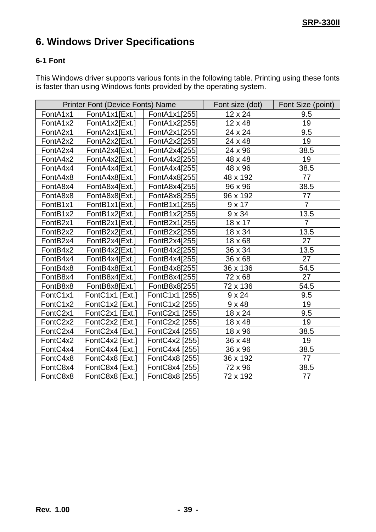## <span id="page-38-0"></span>**6. Windows Driver Specifications**

#### <span id="page-38-1"></span>**6-1 Font**

This Windows driver supports various fonts in the following table. Printing using these fonts is faster than using Windows fonts provided by the operating system.

| <b>Printer Font (Device Fonts) Name</b> |                 |                | Font size (dot) | Font Size (point) |
|-----------------------------------------|-----------------|----------------|-----------------|-------------------|
| FontA1x1                                | FontA1x1[Ext.]  | FontA1x1[255]  | 12 x 24         | 9.5               |
| FontA1x2                                | FontA1x2[Ext.]  | FontA1x2[255]  | 12 x 48         | 19                |
| FontA2x1                                | FontA2x1[Ext.]  | FontA2x1[255]  | 24 x 24         | 9.5               |
| FontA2x2                                | FontA2x2[Ext.]  | FontA2x2[255]  | 24 x 48         | 19                |
| FontA2x4                                | FontA2x4[Ext.]  | FontA2x4[255]  | 24 x 96         | 38.5              |
| FontA4x2                                | FontA4x2[Ext.]  | FontA4x2[255]  | 48 x 48         | 19                |
| FontA4x4                                | FontA4x4[Ext.]  | FontA4x4[255]  | 48 x 96         | 38.5              |
| FontA4x8                                | FontA4x8[Ext.]  | FontA4x8[255]  | 48 x 192        | 77                |
| FontA8x4                                | FontA8x4[Ext.]  | FontA8x4[255]  | 96 x 96         | 38.5              |
| FontA8x8                                | FontA8x8[Ext.]  | FontA8x8[255]  | 96 x 192        | 77                |
| FontB1x1                                | FontB1x1[Ext.]  | FontB1x1[255]  | 9x17            | $\overline{7}$    |
| FontB1x2                                | FontB1x2[Ext.]  | FontB1x2[255]  | $9 \times 34$   | 13.5              |
| FontB <sub>2x1</sub>                    | FontB2x1[Ext.]  | FontB2x1[255]  | 18 x 17         | $\overline{7}$    |
| FontB2x2                                | FontB2x2[Ext.]  | FontB2x2[255]  | 18 x 34         | 13.5              |
| FontB <sub>2x4</sub>                    | FontB2x4[Ext.]  | FontB2x4[255]  | 18 x 68         | 27                |
| FontB4x2                                | FontB4x2[Ext.]  | FontB4x2[255]  | 36 x 34         | 13.5              |
| FontB4x4                                | FontB4x4[Ext.]  | FontB4x4[255]  | 36 x 68         | 27                |
| FontB4x8                                | FontB4x8[Ext.]  | FontB4x8[255]  | 36 x 136        | 54.5              |
| FontB8x4                                | FontB8x4[Ext.]  | FontB8x4[255]  | 72 x 68         | 27                |
| FontB8x8                                | FontB8x8[Ext.]  | FontB8x8[255]  | 72 x 136        | 54.5              |
| FontC1x1                                | FontC1x1 [Ext.] | FontC1x1 [255] | $9 \times 24$   | 9.5               |
| FontC1x2                                | FontC1x2 [Ext.] | FontC1x2 [255] | $9 \times 48$   | 19                |
| FontC2x1                                | FontC2x1 [Ext.] | FontC2x1 [255] | 18 x 24         | 9.5               |
| FontC2x2                                | FontC2x2 [Ext.] | FontC2x2 [255] | 18 x 48         | 19                |
| FontC2x4                                | FontC2x4 [Ext.] | FontC2x4 [255] | 18 x 96         | 38.5              |
| FontC4x2                                | FontC4x2 [Ext.] | FontC4x2 [255] | 36 x 48         | 19                |
| FontC4x4                                | FontC4x4 [Ext.] | FontC4x4 [255] | 36 x 96         | 38.5              |
| FontC4x8                                | FontC4x8 [Ext.] | FontC4x8 [255] | 36 x 192        | 77                |
| FontC8x4                                | FontC8x4 [Ext.] | FontC8x4 [255] | 72 x 96         | 38.5              |
| FontC8x8                                | FontC8x8 [Ext.] | FontC8x8 [255] | 72 x 192        | 77                |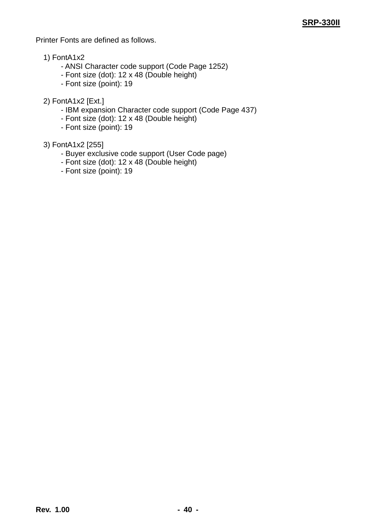Printer Fonts are defined as follows.

- 1) FontA1x2
	- ANSI Character code support (Code Page 1252)
	- Font size (dot): 12 x 48 (Double height)
	- Font size (point): 19
- 2) FontA1x2 [Ext.]
	- IBM expansion Character code support (Code Page 437)
	- Font size (dot): 12 x 48 (Double height)
	- Font size (point): 19

#### 3) FontA1x2 [255]

- Buyer exclusive code support (User Code page)
- Font size (dot): 12 x 48 (Double height)
- Font size (point): 19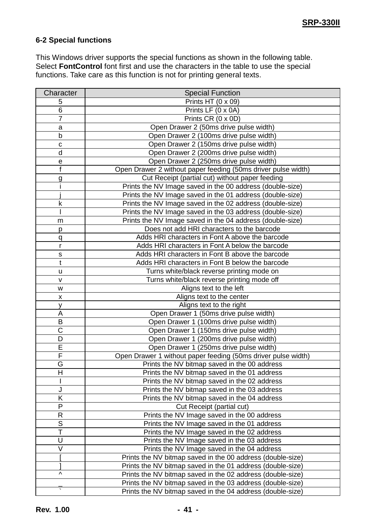#### <span id="page-40-0"></span>**6-2 Special functions**

This Windows driver supports the special functions as shown in the following table. Select **FontControl** font first and use the characters in the table to use the special functions. Take care as this function is not for printing general texts.

| Character               | <b>Special Function</b>                                       |  |  |
|-------------------------|---------------------------------------------------------------|--|--|
| 5                       | Prints HT (0 x 09)                                            |  |  |
| 6                       | Prints LF (0 x 0A)                                            |  |  |
| $\overline{7}$          | Prints CR (0 x 0D)                                            |  |  |
| a                       | Open Drawer 2 (50ms drive pulse width)                        |  |  |
| b                       | Open Drawer 2 (100ms drive pulse width)                       |  |  |
| C                       | Open Drawer 2 (150ms drive pulse width)                       |  |  |
| d                       | Open Drawer 2 (200ms drive pulse width)                       |  |  |
| е                       | Open Drawer 2 (250ms drive pulse width)                       |  |  |
| f                       | Open Drawer 2 without paper feeding (50ms driver pulse width) |  |  |
| g                       | Cut Receipt (partial cut) without paper feeding               |  |  |
|                         | Prints the NV Image saved in the 00 address (double-size)     |  |  |
|                         | Prints the NV Image saved in the 01 address (double-size)     |  |  |
| k                       | Prints the NV Image saved in the 02 address (double-size)     |  |  |
|                         | Prints the NV Image saved in the 03 address (double-size)     |  |  |
| m                       | Prints the NV Image saved in the 04 address (double-size)     |  |  |
| р                       | Does not add HRI characters to the barcode                    |  |  |
| q                       | Adds HRI characters in Font A above the barcode               |  |  |
| r                       | Adds HRI characters in Font A below the barcode               |  |  |
| s                       | Adds HRI characters in Font B above the barcode               |  |  |
| t                       | Adds HRI characters in Font B below the barcode               |  |  |
| u                       | Turns white/black reverse printing mode on                    |  |  |
| v                       | Turns white/black reverse printing mode off                   |  |  |
| W                       | Aligns text to the left                                       |  |  |
| x                       | Aligns text to the center                                     |  |  |
| У                       | Aligns text to the right                                      |  |  |
| А                       | Open Drawer 1 (50ms drive pulse width)                        |  |  |
| B                       | Open Drawer 1 (100ms drive pulse width)                       |  |  |
| C                       | Open Drawer 1 (150ms drive pulse width)                       |  |  |
| D                       | Open Drawer 1 (200ms drive pulse width)                       |  |  |
| E                       | Open Drawer 1 (250ms drive pulse width)                       |  |  |
| F                       | Open Drawer 1 without paper feeding (50ms driver pulse width) |  |  |
| G                       | Prints the NV bitmap saved in the 00 address                  |  |  |
| $\overline{\mathsf{H}}$ | Prints the NV bitmap saved in the 01 address                  |  |  |
|                         | Prints the NV bitmap saved in the 02 address                  |  |  |
| J                       | Prints the NV bitmap saved in the 03 address                  |  |  |
| Κ                       | Prints the NV bitmap saved in the 04 address                  |  |  |
| P                       | Cut Receipt (partial cut)                                     |  |  |
| $\mathsf R$             | Prints the NV Image saved in the 00 address                   |  |  |
| $\overline{\mathsf{s}}$ | Prints the NV Image saved in the 01 address                   |  |  |
| T                       | Prints the NV Image saved in the 02 address                   |  |  |
| U                       | Prints the NV Image saved in the 03 address                   |  |  |
| V                       | Prints the NV Image saved in the 04 address                   |  |  |
|                         | Prints the NV bitmap saved in the 00 address (double-size)    |  |  |
|                         | Prints the NV bitmap saved in the 01 address (double-size)    |  |  |
| Λ                       | Prints the NV bitmap saved in the 02 address (double-size)    |  |  |
|                         | Prints the NV bitmap saved in the 03 address (double-size)    |  |  |
|                         | Prints the NV bitmap saved in the 04 address (double-size)    |  |  |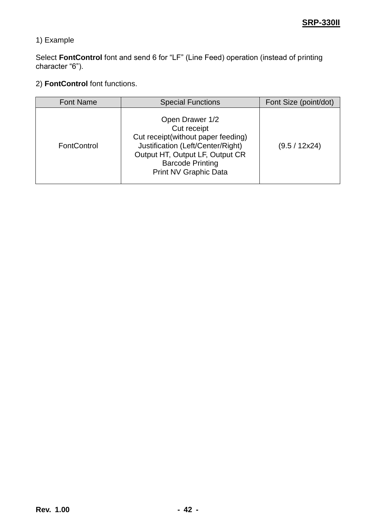#### 1) Example

Select **FontControl** font and send 6 for "LF" (Line Feed) operation (instead of printing character "6").

#### 2) **FontControl** font functions.

| <b>Font Name</b>   | <b>Special Functions</b>                                                                                                                                                                                | Font Size (point/dot) |
|--------------------|---------------------------------------------------------------------------------------------------------------------------------------------------------------------------------------------------------|-----------------------|
| <b>FontControl</b> | Open Drawer 1/2<br>Cut receipt<br>Cut receipt(without paper feeding)<br>Justification (Left/Center/Right)<br>Output HT, Output LF, Output CR<br><b>Barcode Printing</b><br><b>Print NV Graphic Data</b> | (9.5 / 12x24)         |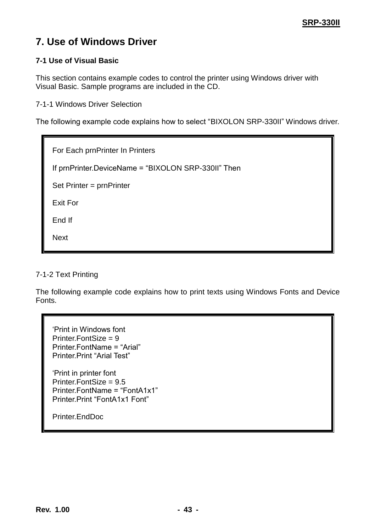## <span id="page-42-0"></span>**7. Use of Windows Driver**

#### <span id="page-42-1"></span>**7-1 Use of Visual Basic**

This section contains example codes to control the printer using Windows driver with Visual Basic. Sample programs are included in the CD.

<span id="page-42-2"></span>7-1-1 Windows Driver Selection

The following example code explains how to select "BIXOLON SRP-330II" Windows driver.

For Each prnPrinter In Printers If prnPrinter.DeviceName = "BIXOLON SRP-330II" Then

Set Printer = prnPrinter

Exit For

End If

Next

#### <span id="page-42-3"></span>7-1-2 Text Printing

The following example code explains how to print texts using Windows Fonts and Device Fonts.

"Print in Windows font Printer.FontSize = 9 Printer.FontName = "Arial" Printer.Print "Arial Test" "Print in printer font Printer.FontSize = 9.5 Printer.FontName = "FontA1x1" Printer.Print "FontA1x1 Font"

Printer.EndDoc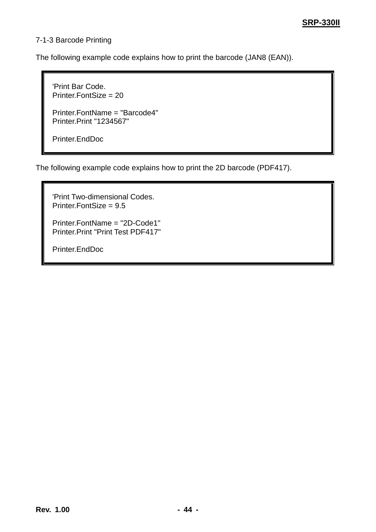#### <span id="page-43-0"></span>7-1-3 Barcode Printing

The following example code explains how to print the barcode (JAN8 (EAN)).

'Print Bar Code. Printer.FontSize = 20 Printer.FontName = "Barcode4" Printer.Print "1234567" Printer.EndDoc

The following example code explains how to print the 2D barcode (PDF417).

```
'Print Two-dimensional Codes.
Printer.FontSize = 9.5
Printer.FontName = "2D-Code1"
Printer.Print "Print Test PDF417"
Printer.EndDoc
```
**Rev. 1.00 - 44 -**